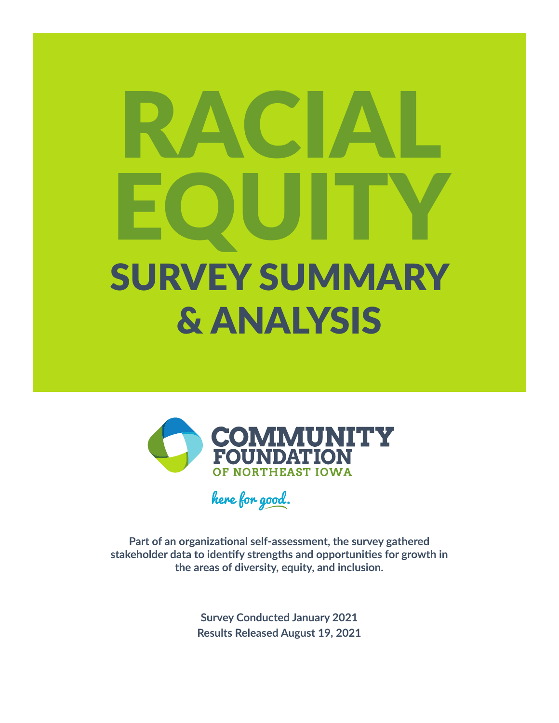# RACIAL EQUITY SURVEY SUMMARY & ANALYSIS



here for good.

**Part of an organizational self-assessment, the survey gathered stakeholder data to identify strengths and opportunities for growth in the areas of diversity, equity, and inclusion.**

> **Survey Conducted January 2021 Results Released August 19, 2021**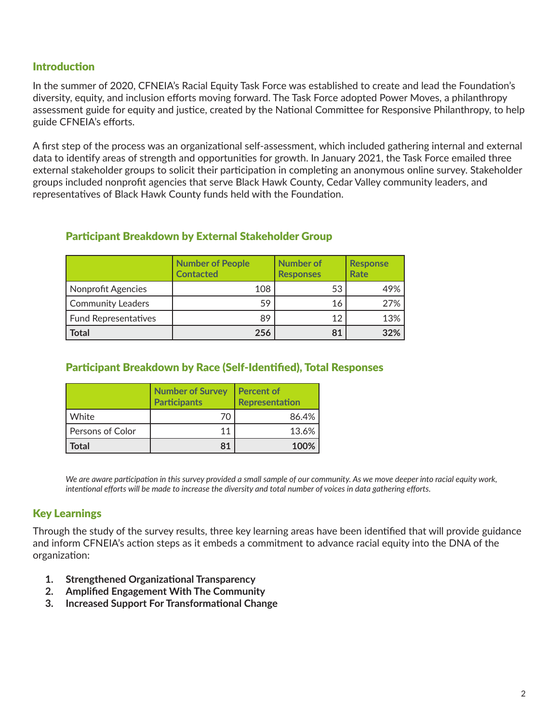## **Introduction**

In the summer of 2020, CFNEIA's Racial Equity Task Force was established to create and lead the Foundation's diversity, equity, and inclusion efforts moving forward. The Task Force adopted Power Moves, a philanthropy assessment guide for equity and justice, created by the National Committee for Responsive Philanthropy, to help guide CFNEIA's efforts.

A first step of the process was an organizational self-assessment, which included gathering internal and external data to identify areas of strength and opportunities for growth. In January 2021, the Task Force emailed three external stakeholder groups to solicit their participation in completing an anonymous online survey. Stakeholder groups included nonprofit agencies that serve Black Hawk County, Cedar Valley community leaders, and representatives of Black Hawk County funds held with the Foundation.

## Participant Breakdown by External Stakeholder Group

|                          | <b>Number of People</b><br><b>Contacted</b> | <b>Number of</b><br><b>Responses</b> | <b>Response</b><br>Rate |
|--------------------------|---------------------------------------------|--------------------------------------|-------------------------|
| Nonprofit Agencies       | 108                                         | 53                                   | 49%                     |
| <b>Community Leaders</b> | 59                                          | 16                                   | 27%                     |
| Fund Representatives     | 89                                          | 12                                   | 13%                     |
| <b>Total</b>             | 256                                         | 81                                   | 32%                     |

## Participant Breakdown by Race (Self-Identified), Total Responses

|                  | <b>Number of Survey</b><br><b>Participants</b> | <b>Percent of</b><br><b>Representation</b> |
|------------------|------------------------------------------------|--------------------------------------------|
| White            | 7Ω                                             | 86.4%                                      |
| Persons of Color | 11                                             | 13.6%                                      |
| <b>Total</b>     | 81                                             | 100%                                       |

*We are aware participation in this survey provided a small sample of our community. As we move deeper into racial equity work, intentional efforts will be made to increase the diversity and total number of voices in data gathering efforts.*

## Key Learnings

Through the study of the survey results, three key learning areas have been identified that will provide guidance and inform CFNEIA's action steps as it embeds a commitment to advance racial equity into the DNA of the organization:

- **1. Strengthened Organizational Transparency**
- **2. Amplified Engagement With The Community**
- **3. Increased Support For Transformational Change**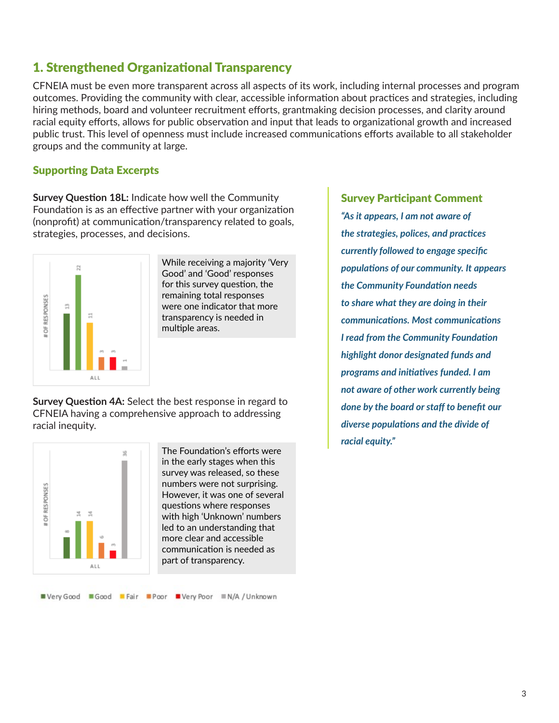## 1. Strengthened Organizational Transparency

CFNEIA must be even more transparent across all aspects of its work, including internal processes and program outcomes. Providing the community with clear, accessible information about practices and strategies, including hiring methods, board and volunteer recruitment efforts, grantmaking decision processes, and clarity around racial equity efforts, allows for public observation and input that leads to organizational growth and increased public trust. This level of openness must include increased communications efforts available to all stakeholder groups and the community at large.

## Supporting Data Excerpts

**Survey Question 18L:** Indicate how well the Community Foundation is as an effective partner with your organization (nonprofit) at communication/transparency related to goals, strategies, processes, and decisions.



While receiving a majority 'Very Good' and 'Good' responses for this survey question, the remaining total responses were one indicator that more transparency is needed in multiple areas.

**Survey Question 4A:** Select the best response in regard to CFNEIA having a comprehensive approach to addressing racial inequity.



The Foundation's efforts were in the early stages when this survey was released, so these numbers were not surprising. However, it was one of several questions where responses with high 'Unknown' numbers led to an understanding that more clear and accessible communication is needed as part of transparency.

Survey Participant Comment *"As it appears, I am not aware of the strategies, polices, and practices currently followed to engage specific populations of our community. It appears the Community Foundation needs to share what they are doing in their communications. Most communications I read from the Community Foundation highlight donor designated funds and programs and initiatives funded. I am not aware of other work currently being done by the board or staff to benefit our diverse populations and the divide of racial equity."*

#### ■ Very Good ■ Good ■ Fair ■ Poor ■ Very Poor ■ N/A / Unknown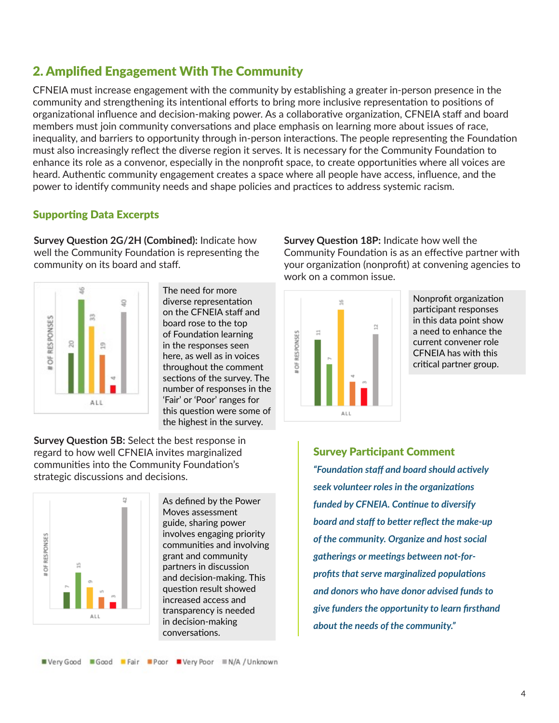# 2. Amplified Engagement With The Community

CFNEIA must increase engagement with the community by establishing a greater in-person presence in the community and strengthening its intentional efforts to bring more inclusive representation to positions of organizational influence and decision-making power. As a collaborative organization, CFNEIA staff and board members must join community conversations and place emphasis on learning more about issues of race, inequality, and barriers to opportunity through in-person interactions. The people representing the Foundation must also increasingly reflect the diverse region it serves. It is necessary for the Community Foundation to enhance its role as a convenor, especially in the nonprofit space, to create opportunities where all voices are heard. Authentic community engagement creates a space where all people have access, influence, and the power to identify community needs and shape policies and practices to address systemic racism.

## Supporting Data Excerpts

**Survey Question 2G/2H (Combined):** Indicate how well the Community Foundation is representing the community on its board and staff.



The need for more diverse representation on the CFNEIA staff and board rose to the top of Foundation learning in the responses seen here, as well as in voices throughout the comment sections of the survey. The number of responses in the 'Fair' or 'Poor' ranges for this question were some of the highest in the survey.

**Survey Question 5B:** Select the best response in regard to how well CFNEIA invites marginalized communities into the Community Foundation's strategic discussions and decisions.



As defined by the Power Moves assessment guide, sharing power involves engaging priority communities and involving grant and community partners in discussion and decision-making. This question result showed increased access and transparency is needed in decision-making conversations.

**Survey Question 18P:** Indicate how well the Community Foundation is as an effective partner with your organization (nonprofit) at convening agencies to work on a common issue.



Nonprofit organization participant responses in this data point show a need to enhance the current convener role CFNEIA has with this critical partner group.

Survey Participant Comment *"Foundation staff and board should actively seek volunteer roles in the organizations funded by CFNEIA. Continue to diversify board and staff to better reflect the make-up of the community. Organize and host social gatherings or meetings between not-forprofits that serve marginalized populations and donors who have donor advised funds to give funders the opportunity to learn firsthand about the needs of the community."*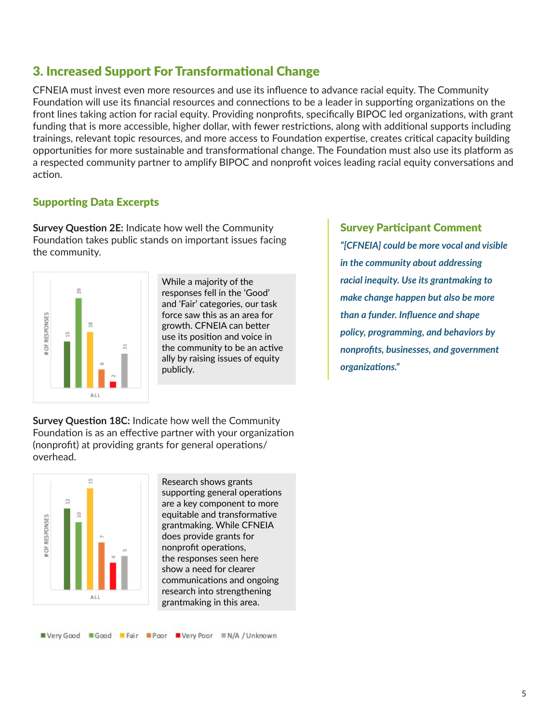# 3. Increased Support For Transformational Change

CFNEIA must invest even more resources and use its influence to advance racial equity. The Community Foundation will use its financial resources and connections to be a leader in supporting organizations on the front lines taking action for racial equity. Providing nonprofits, specifically BIPOC led organizations, with grant funding that is more accessible, higher dollar, with fewer restrictions, along with additional supports including trainings, relevant topic resources, and more access to Foundation expertise, creates critical capacity building opportunities for more sustainable and transformational change. The Foundation must also use its platform as a respected community partner to amplify BIPOC and nonprofit voices leading racial equity conversations and action.

## Supporting Data Excerpts

**Survey Question 2E:** Indicate how well the Community Foundation takes public stands on important issues facing the community.



While a majority of the responses fell in the 'Good' and 'Fair' categories, our task force saw this as an area for growth. CFNEIA can better use its position and voice in the community to be an active ally by raising issues of equity publicly.

Survey Participant Comment *"[CFNEIA] could be more vocal and visible in the community about addressing racial inequity. Use its grantmaking to make change happen but also be more than a funder. Influence and shape policy, programming, and behaviors by nonprofits, businesses, and government organizations."* 

**Survey Question 18C:** Indicate how well the Community Foundation is as an effective partner with your organization (nonprofit) at providing grants for general operations/ overhead.



Research shows grants supporting general operations are a key component to more equitable and transformative grantmaking. While CFNEIA does provide grants for nonprofit operations, the responses seen here show a need for clearer communications and ongoing research into strengthening grantmaking in this area.

■ Very Good ■ Good ■ Fair ■ Poor ■ Very Poor ■ N/A / Unknown